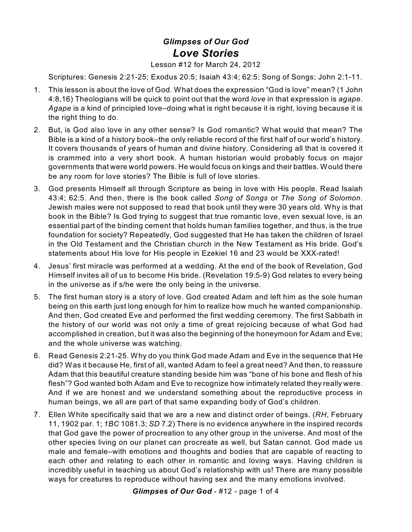## *Glimpses of Our God Love Stories*

## Lesson #12 for March 24, 2012

Scriptures: Genesis 2:21-25; Exodus 20:5; Isaiah 43:4; 62:5; Song of Songs; John 2:1-11.

- 1. This lesson is about the love of God. What does the expression "God is love" mean? (1 John 4:8,16) Theologians will be quick to point out that the word *love* in that expression is *agape*. *Agape* is a kind of principled love–doing what is right because it is right, loving because it is the right thing to do.
- 2. But, is God also love in any other sense? Is God romantic? What would that mean? The Bible is a kind of a history book–the only reliable record of the first half of our world's history. It covers thousands of years of human and divine history. Considering all that is covered it is crammed into a very short book. A human historian would probably focus on major governments that were world powers. He would focus on kings and their battles. Would there be any room for love stories? The Bible is full of love stories.
- 3. God presents Himself all through Scripture as being in love with His people. Read Isaiah 43:4; 62:5. And then, there is the book called *Song of Songs* or *The Song of Solomon*. Jewish males were not supposed to read that book until they were 30 years old. Why is that book in the Bible? Is God trying to suggest that true romantic love, even sexual love, is an essential part of the binding cement that holds human families together, and thus, is the true foundation for society? Repeatedly, God suggested that He has taken the children of Israel in the Old Testament and the Christian church in the New Testament as His bride. God's statements about His love for His people in Ezekiel 16 and 23 would be XXX-rated!
- 4. Jesus' first miracle was performed at a wedding. At the end of the book of Revelation, God Himself invites all of us to become His bride. (Revelation 19:5-9) God relates to every being in the universe as if s/he were the only being in the universe.
- 5. The first human story is a story of love. God created Adam and left him as the sole human being on this earth just long enough for him to realize how much he wanted companionship. And then, God created Eve and performed the first wedding ceremony. The first Sabbath in the history of our world was not only a time of great rejoicing because of what God had accomplished in creation, but it was also the beginning of the honeymoon for Adam and Eve; and the whole universe was watching.
- 6. Read Genesis 2:21-25. Why do you think God made Adam and Eve in the sequence that He did? Was it because He, first of all, wanted Adam to feel a great need? And then, to reassure Adam that this beautiful creature standing beside him was "bone of his bone and flesh of his flesh"? God wanted both Adam and Eve to recognize how intimately related they really were. And if we are honest and we understand something about the reproductive process in human beings, we all are part of that same expanding body of God's children.
- 7. Ellen White specifically said that we are a new and distinct order of beings. (*RH*, February 11, 1902 par. 1; *1BC* 1081.3; *SD* 7.2) There is no evidence anywhere in the inspired records that God gave the power of procreation to any other group in the universe. And most of the other species living on our planet can procreate as well, but Satan cannot. God made us male and female–with emotions and thoughts and bodies that are capable of reacting to each other and relating to each other in romantic and loving ways. Having children is incredibly useful in teaching us about God's relationship with us! There are many possible ways for creatures to reproduce without having sex and the many emotions involved.

*Glimpses of Our God* - #12 - page 1 of 4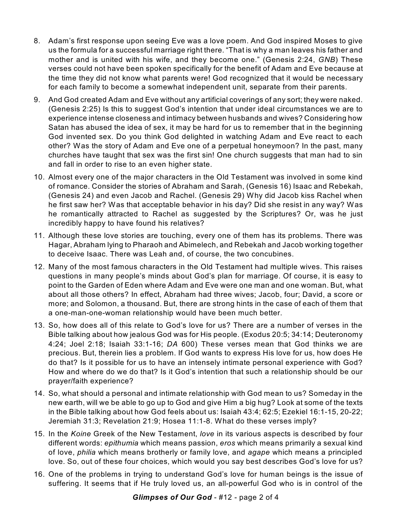- 8. Adam's first response upon seeing Eve was a love poem. And God inspired Moses to give us the formula for a successful marriage right there. "That is why a man leaves his father and mother and is united with his wife, and they become one." (Genesis 2:24, *GNB*) These verses could not have been spoken specifically for the benefit of Adam and Eve because at the time they did not know what parents were! God recognized that it would be necessary for each family to become a somewhat independent unit, separate from their parents.
- 9. And God created Adam and Eve without any artificial coverings of any sort; they were naked. (Genesis 2:25) Is this to suggest God's intention that under ideal circumstances we are to experience intense closeness and intimacy between husbands and wives? Considering how Satan has abused the idea of sex, it may be hard for us to remember that in the beginning God invented sex. Do you think God delighted in watching Adam and Eve react to each other? Was the story of Adam and Eve one of a perpetual honeymoon? In the past, many churches have taught that sex was the first sin! One church suggests that man had to sin and fall in order to rise to an even higher state.
- 10. Almost every one of the major characters in the Old Testament was involved in some kind of romance. Consider the stories of Abraham and Sarah, (Genesis 16) Isaac and Rebekah, (Genesis 24) and even Jacob and Rachel. (Genesis 29) Why did Jacob kiss Rachel when he first saw her? Was that acceptable behavior in his day? Did she resist in any way? Was he romantically attracted to Rachel as suggested by the Scriptures? Or, was he just incredibly happy to have found his relatives?
- 11. Although these love stories are touching, every one of them has its problems. There was Hagar, Abraham lying to Pharaoh and Abimelech, and Rebekah and Jacob working together to deceive Isaac. There was Leah and, of course, the two concubines.
- 12. Many of the most famous characters in the Old Testament had multiple wives. This raises questions in many people's minds about God's plan for marriage. Of course, it is easy to point to the Garden of Eden where Adam and Eve were one man and one woman. But, what about all those others? In effect, Abraham had three wives; Jacob, four; David, a score or more; and Solomon, a thousand. But, there are strong hints in the case of each of them that a one-man-one-woman relationship would have been much better.
- 13. So, how does all of this relate to God's love for us? There are a number of verses in the Bible talking about how jealous God was for His people. (Exodus 20:5; 34:14; Deuteronomy 4:24; Joel 2:18; Isaiah 33:1-16; *DA* 600) These verses mean that God thinks we are precious. But, therein lies a problem. If God wants to express His love for us, how does He do that? Is it possible for us to have an intensely intimate personal experience with God? How and where do we do that? Is it God's intention that such a relationship should be our prayer/faith experience?
- 14. So, what should a personal and intimate relationship with God mean to us? Someday in the new earth, will we be able to go up to God and give Him a big hug? Look at some of the texts in the Bible talking about how God feels about us: Isaiah 43:4; 62:5; Ezekiel 16:1-15, 20-22; Jeremiah 31:3; Revelation 21:9; Hosea 11:1-8. What do these verses imply?
- 15. In the *Koine* Greek of the New Testament, *love* in its various aspects is described by four different words: *epithumia* which means passion, *eros* which means primarily a sexual kind of love, *philia* which means brotherly or family love, and *agape* which means a principled love. So, out of these four choices, which would you say best describes God's love for us?
- 16. One of the problems in trying to understand God's love for human beings is the issue of suffering. It seems that if He truly loved us, an all-powerful God who is in control of the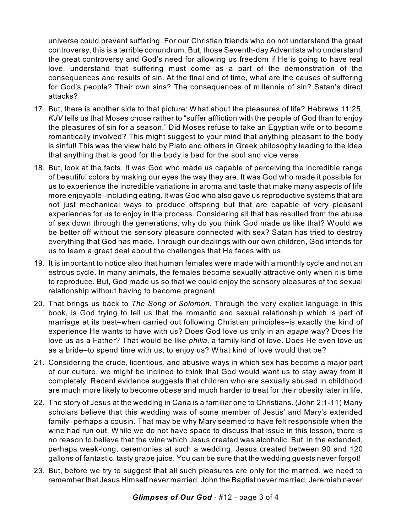universe could prevent suffering. For our Christian friends who do not understand the great controversy, this is a terrible conundrum. But, those Seventh-day Adventists who understand the great controversy and God's need for allowing us freedom if He is going to have real love, understand that suffering must come as a part of the demonstration of the consequences and results of sin. At the final end of time, what are the causes of suffering for God's people? Their own sins? The consequences of millennia of sin? Satan's direct attacks?

- 17. But, there is another side to that picture: What about the pleasures of life? Hebrews 11:25, *KJV* tells us that Moses chose rather to "suffer affliction with the people of God than to enjoy the pleasures of sin for a season." Did Moses refuse to take an Egyptian wife or to become romantically involved? This might suggest to your mind that anything pleasant to the body is sinful! This was the view held by Plato and others in Greek philosophy leading to the idea that anything that is good for the body is bad for the soul and vice versa.
- 18. But, look at the facts. It was God who made us capable of perceiving the incredible range of beautiful colors by making our eyes the way they are. It was God who made it possible for us to experience the incredible variations in aroma and taste that make many aspects of life more enjoyable–including eating. It was God who also gave us reproductive systems that are not just mechanical ways to produce offspring but that are capable of very pleasant experiences for us to enjoy in the process. Considering all that has resulted from the abuse of sex down through the generations, why do you think God made us like that? Would we be better off without the sensory pleasure connected with sex? Satan has tried to destroy everything that God has made. Through our dealings with our own children, God intends for us to learn a great deal about the challenges that He faces with us.
- 19. It is important to notice also that human females were made with a monthly cycle and not an estrous cycle. In many animals, the females become sexually attractive only when it is time to reproduce. But, God made us so that we could enjoy the sensory pleasures of the sexual relationship without having to become pregnant.
- 20. That brings us back to *The Song of Solomon*. Through the very explicit language in this book, is God trying to tell us that the romantic and sexual relationship which is part of marriage at its best–when carried out following Christian principles–is exactly the kind of experience He wants to have with us? Does God love us only in an *agape* way? Does He love us as a Father? That would be like *philia,* a family kind of love. Does He even love us as a bride–to spend time with us, to enjoy us? What kind of love would that be?
- 21. Considering the crude, licentious, and abusive ways in which sex has become a major part of our culture, we might be inclined to think that God would want us to stay away from it completely. Recent evidence suggests that children who are sexually abused in childhood are much more likely to become obese and much harder to treat for their obesity later in life.
- 22. The story of Jesus at the wedding in Cana is a familiar one to Christians. (John 2:1-11) Many scholars believe that this wedding was of some member of Jesus' and Mary's extended family–perhaps a cousin. That may be why Mary seemed to have felt responsible when the wine had run out. While we do not have space to discuss that issue in this lesson, there is no reason to believe that the wine which Jesus created was alcoholic. But, in the extended, perhaps week-long, ceremonies at such a wedding, Jesus created between 90 and 120 gallons of fantastic, tasty grape juice. You can be sure that the wedding guests never forgot!
- 23. But, before we try to suggest that all such pleasures are only for the married, we need to remember that Jesus Himself never married. John the Baptist never married. Jeremiah never